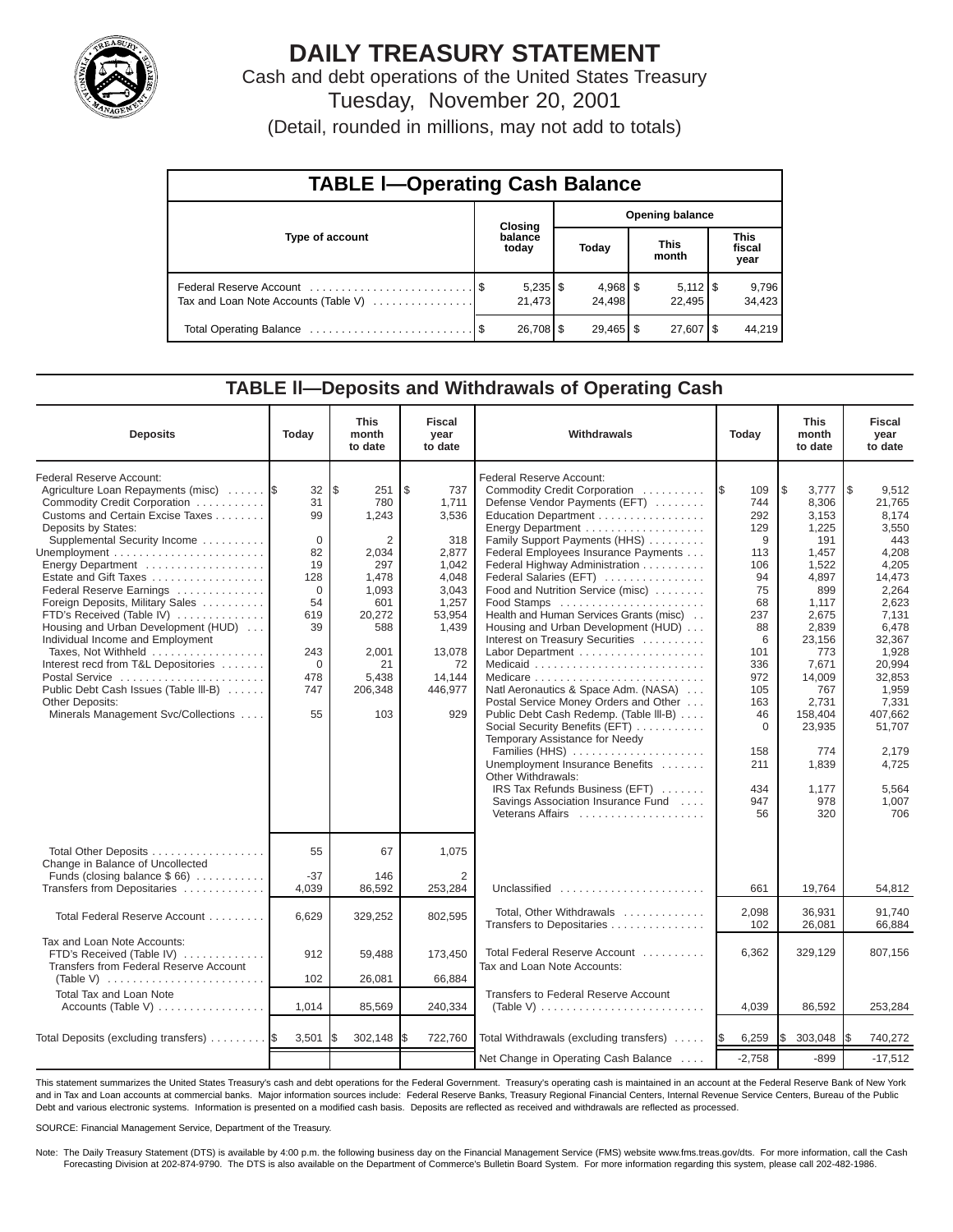

# **DAILY TREASURY STATEMENT**

Cash and debt operations of the United States Treasury Tuesday, November 20, 2001

(Detail, rounded in millions, may not add to totals)

| <b>TABLE I-Operating Cash Balance</b> |  |                  |  |                              |                      |                              |                               |                 |  |  |
|---------------------------------------|--|------------------|--|------------------------------|----------------------|------------------------------|-------------------------------|-----------------|--|--|
|                                       |  | <b>Closing</b>   |  | <b>Opening balance</b>       |                      |                              |                               |                 |  |  |
| Type of account                       |  | balance<br>today |  | Today                        | <b>This</b><br>month |                              | <b>This</b><br>fiscal<br>year |                 |  |  |
| Tax and Loan Note Accounts (Table V)  |  | 21.473           |  | $4,968$ $\sqrt{5}$<br>24.498 |                      | $5,112$ $\sqrt{5}$<br>22.495 |                               | 9,796<br>34,423 |  |  |
|                                       |  | $26,708$ \$      |  | $29,465$ \$                  |                      | $27,607$ $\frac{1}{3}$       |                               | 44.219          |  |  |

#### **TABLE ll—Deposits and Withdrawals of Operating Cash**

| <b>Deposits</b>                                                                                                                                                                                                                                                                                                                                                                                                                                                                                                                                                                                    | Today                                                                                                        | <b>This</b><br>month<br>to date                                                                                                                  | <b>Fiscal</b><br>year<br>to date                                                                                                                 | Withdrawals                                                                                                                                                                                                                                                                                                                                                                                                                                                                                                                                                                                                                                                                                                                                                                                                                |                                                                                                                                                                                        | <b>This</b><br>month<br>to date                                                                                                                                                                                             | <b>Fiscal</b><br>year<br>to date                                                                                                                                                                                                                |
|----------------------------------------------------------------------------------------------------------------------------------------------------------------------------------------------------------------------------------------------------------------------------------------------------------------------------------------------------------------------------------------------------------------------------------------------------------------------------------------------------------------------------------------------------------------------------------------------------|--------------------------------------------------------------------------------------------------------------|--------------------------------------------------------------------------------------------------------------------------------------------------|--------------------------------------------------------------------------------------------------------------------------------------------------|----------------------------------------------------------------------------------------------------------------------------------------------------------------------------------------------------------------------------------------------------------------------------------------------------------------------------------------------------------------------------------------------------------------------------------------------------------------------------------------------------------------------------------------------------------------------------------------------------------------------------------------------------------------------------------------------------------------------------------------------------------------------------------------------------------------------------|----------------------------------------------------------------------------------------------------------------------------------------------------------------------------------------|-----------------------------------------------------------------------------------------------------------------------------------------------------------------------------------------------------------------------------|-------------------------------------------------------------------------------------------------------------------------------------------------------------------------------------------------------------------------------------------------|
| Federal Reserve Account:<br>Agriculture Loan Repayments (misc)<br>Commodity Credit Corporation<br>Customs and Certain Excise Taxes<br>Deposits by States:<br>Supplemental Security Income<br>Energy Department<br>Estate and Gift Taxes<br>Federal Reserve Earnings<br>Foreign Deposits, Military Sales<br>FTD's Received (Table IV)<br>Housing and Urban Development (HUD)<br>Individual Income and Employment<br>Taxes, Not Withheld<br>Interest recd from T&L Depositories<br>Postal Service<br>Public Debt Cash Issues (Table III-B)<br>Other Deposits:<br>Minerals Management Svc/Collections | 32<br>31<br>99<br>$\Omega$<br>82<br>19<br>128<br>$\Omega$<br>54<br>619<br>39<br>243<br>0<br>478<br>747<br>55 | l\$<br>251<br>780<br>1,243<br>$\overline{2}$<br>2.034<br>297<br>1,478<br>1,093<br>601<br>20,272<br>588<br>2,001<br>21<br>5,438<br>206,348<br>103 | l \$<br>737<br>1,711<br>3,536<br>318<br>2.877<br>1.042<br>4.048<br>3,043<br>1,257<br>53,954<br>1,439<br>13,078<br>72<br>14.144<br>446,977<br>929 | Federal Reserve Account:<br>Commodity Credit Corporation<br>Defense Vendor Payments (EFT)<br>Education Department<br>Energy Department<br>Family Support Payments (HHS)<br>Federal Employees Insurance Payments<br>Federal Highway Administration<br>Federal Salaries (EFT)<br>Food and Nutrition Service (misc)<br>Food Stamps<br>Health and Human Services Grants (misc)<br>Housing and Urban Development (HUD)<br>Interest on Treasury Securities<br>Labor Department<br>Natl Aeronautics & Space Adm. (NASA)<br>Postal Service Money Orders and Other<br>Public Debt Cash Redemp. (Table III-B)<br>Social Security Benefits (EFT)<br>Temporary Assistance for Needy<br>Families (HHS)<br>Unemployment Insurance Benefits<br>Other Withdrawals:<br>IRS Tax Refunds Business (EFT)<br>Savings Association Insurance Fund | <b>IS</b><br>109<br>744<br>292<br>129<br>9<br>113<br>106<br>94<br>75<br>68<br>237<br>88<br>6<br>101<br>336<br>972<br>105<br>163<br>46<br>$\mathbf 0$<br>158<br>211<br>434<br>947<br>56 | l\$<br>3,777<br>8,306<br>3,153<br>1,225<br>191<br>1,457<br>1.522<br>4,897<br>899<br>1,117<br>2,675<br>2,839<br>23,156<br>773<br>7,671<br>14,009<br>767<br>2,731<br>158,404<br>23,935<br>774<br>1,839<br>1,177<br>978<br>320 | $\sqrt{3}$<br>9,512<br>21,765<br>8,174<br>3,550<br>443<br>4.208<br>4,205<br>14,473<br>2,264<br>2,623<br>7,131<br>6,478<br>32,367<br>1,928<br>20,994<br>32,853<br>1,959<br>7,331<br>407,662<br>51.707<br>2.179<br>4,725<br>5,564<br>1,007<br>706 |
| Total Other Deposits<br>Change in Balance of Uncollected                                                                                                                                                                                                                                                                                                                                                                                                                                                                                                                                           | 55                                                                                                           | 67                                                                                                                                               | 1,075                                                                                                                                            |                                                                                                                                                                                                                                                                                                                                                                                                                                                                                                                                                                                                                                                                                                                                                                                                                            |                                                                                                                                                                                        |                                                                                                                                                                                                                             |                                                                                                                                                                                                                                                 |
| Funds (closing balance $$66$ )<br>Transfers from Depositaries                                                                                                                                                                                                                                                                                                                                                                                                                                                                                                                                      | $-37$<br>4,039                                                                                               | 146<br>86,592                                                                                                                                    | 2<br>253,284                                                                                                                                     | Unclassified                                                                                                                                                                                                                                                                                                                                                                                                                                                                                                                                                                                                                                                                                                                                                                                                               | 661                                                                                                                                                                                    | 19,764                                                                                                                                                                                                                      | 54,812                                                                                                                                                                                                                                          |
| Total Federal Reserve Account                                                                                                                                                                                                                                                                                                                                                                                                                                                                                                                                                                      | 6.629                                                                                                        | 329,252                                                                                                                                          | 802,595                                                                                                                                          | Total, Other Withdrawals<br>Transfers to Depositaries                                                                                                                                                                                                                                                                                                                                                                                                                                                                                                                                                                                                                                                                                                                                                                      | 2,098<br>102                                                                                                                                                                           | 36,931<br>26,081                                                                                                                                                                                                            | 91,740<br>66,884                                                                                                                                                                                                                                |
| Tax and Loan Note Accounts:<br>FTD's Received (Table IV)<br>Transfers from Federal Reserve Account                                                                                                                                                                                                                                                                                                                                                                                                                                                                                                 | 912                                                                                                          | 59,488                                                                                                                                           | 173,450                                                                                                                                          | Total Federal Reserve Account<br>Tax and Loan Note Accounts:                                                                                                                                                                                                                                                                                                                                                                                                                                                                                                                                                                                                                                                                                                                                                               | 6,362                                                                                                                                                                                  | 329,129                                                                                                                                                                                                                     | 807.156                                                                                                                                                                                                                                         |
| (Table V) $\ldots \ldots \ldots \ldots \ldots \ldots \ldots \ldots$<br>Total Tax and Loan Note                                                                                                                                                                                                                                                                                                                                                                                                                                                                                                     | 102                                                                                                          | 26,081                                                                                                                                           | 66,884                                                                                                                                           | Transfers to Federal Reserve Account                                                                                                                                                                                                                                                                                                                                                                                                                                                                                                                                                                                                                                                                                                                                                                                       |                                                                                                                                                                                        |                                                                                                                                                                                                                             |                                                                                                                                                                                                                                                 |
| Accounts (Table V)                                                                                                                                                                                                                                                                                                                                                                                                                                                                                                                                                                                 | 1,014                                                                                                        | 85,569                                                                                                                                           | 240,334                                                                                                                                          | (Table V) $\ldots \ldots \ldots \ldots \ldots \ldots \ldots \ldots$                                                                                                                                                                                                                                                                                                                                                                                                                                                                                                                                                                                                                                                                                                                                                        | 4,039                                                                                                                                                                                  | 86,592                                                                                                                                                                                                                      | 253,284                                                                                                                                                                                                                                         |
| Total Deposits (excluding transfers)                                                                                                                                                                                                                                                                                                                                                                                                                                                                                                                                                               | 3,501                                                                                                        | 302,148<br>I\$                                                                                                                                   | 722,760<br>I\$                                                                                                                                   | Total Withdrawals (excluding transfers)                                                                                                                                                                                                                                                                                                                                                                                                                                                                                                                                                                                                                                                                                                                                                                                    | 6,259<br>IS.                                                                                                                                                                           | I\$<br>303,048                                                                                                                                                                                                              | 740,272<br>I\$                                                                                                                                                                                                                                  |
|                                                                                                                                                                                                                                                                                                                                                                                                                                                                                                                                                                                                    |                                                                                                              |                                                                                                                                                  |                                                                                                                                                  | Net Change in Operating Cash Balance                                                                                                                                                                                                                                                                                                                                                                                                                                                                                                                                                                                                                                                                                                                                                                                       | $-2,758$                                                                                                                                                                               | $-899$                                                                                                                                                                                                                      | $-17,512$                                                                                                                                                                                                                                       |

This statement summarizes the United States Treasury's cash and debt operations for the Federal Government. Treasury's operating cash is maintained in an account at the Federal Reserve Bank of New York and in Tax and Loan accounts at commercial banks. Major information sources include: Federal Reserve Banks, Treasury Regional Financial Centers, Internal Revenue Service Centers, Bureau of the Public Debt and various electronic systems. Information is presented on a modified cash basis. Deposits are reflected as received and withdrawals are reflected as processed.

SOURCE: Financial Management Service, Department of the Treasury.

Note: The Daily Treasury Statement (DTS) is available by 4:00 p.m. the following business day on the Financial Management Service (FMS) website www.fms.treas.gov/dts. For more information, call the Cash Forecasting Division at 202-874-9790. The DTS is also available on the Department of Commerce's Bulletin Board System. For more information regarding this system, please call 202-482-1986.